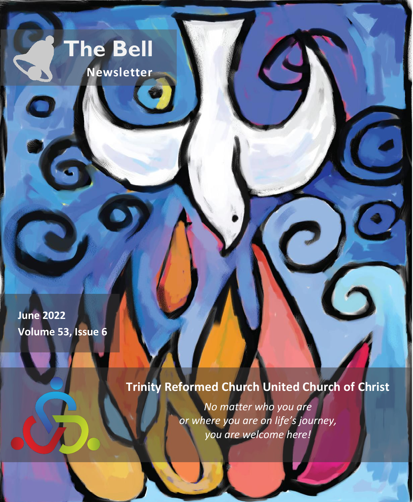# **The Bell**

 **Newsletter**

**June 2022 Volume 53, Issue 6**

# **Trinity Reformed Church United Church of Christ**

*No matter who you are or where you are on life's journey, you are welcome here!*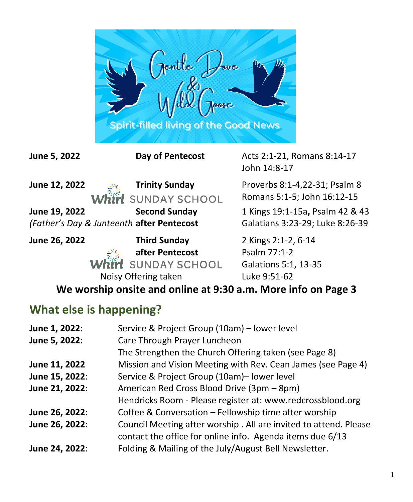

**June 5, 2022 Day of Pentecost Acts 2:1-21, Romans 8:14-17** John 14:8-17 **June 12, 2022 Trinity Sunday** Proverbs 8:1-4,22-31; Psalm 8 Romans 5:1-5; John 16:12-15 **SUNDAY SCHOOL June 19, 2022 Second Sunday** 1 Kings 19:1-15a**,** Psalm 42 & 43 *(Father's Day & Junteenth* **after Pentecost** Galatians 3:23-29; Luke 8:26-39 **June 26, 2022 Third Sunday** 2 Kings 2:1-2, 6-14 **after Pentecost** Psalm 77:1-2 Irl SUNDAY SCHOOL Galations 5:1, 13-35 Noisy Offering taken Luke 9:51-62

**We worship onsite and online at 9:30 a.m. More info on Page 3**

#### **What else is happening?**

| June 1, 2022:  | Service & Project Group (10am) - lower level                      |
|----------------|-------------------------------------------------------------------|
| June 5, 2022:  | Care Through Prayer Luncheon                                      |
|                | The Strengthen the Church Offering taken (see Page 8)             |
| June 11, 2022  | Mission and Vision Meeting with Rev. Cean James (see Page 4)      |
| June 15, 2022: | Service & Project Group (10am)- lower level                       |
| June 21, 2022: | American Red Cross Blood Drive (3pm - 8pm)                        |
|                | Hendricks Room - Please register at: www.redcrossblood.org        |
| June 26, 2022: | Coffee & Conversation - Fellowship time after worship             |
| June 26, 2022: | Council Meeting after worship . All are invited to attend. Please |
|                | contact the office for online info. Agenda items due 6/13         |
| June 24, 2022: | Folding & Mailing of the July/August Bell Newsletter.             |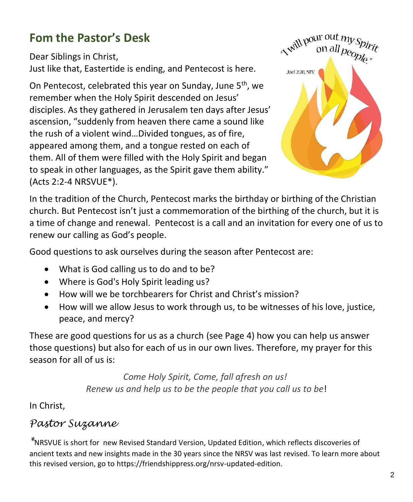#### **Fom the Pastor's Desk**

Dear Siblings in Christ, Just like that, Eastertide is ending, and Pentecost is here.

On Pentecost, celebrated this year on Sunday, June 5<sup>th</sup>, we remember when the Holy Spirit descended on Jesus' disciples. As they gathered in Jerusalem ten days after Jesus' ascension, "suddenly from heaven there came a sound like the rush of a violent wind…Divided tongues, as of fire, appeared among them, and a tongue rested on each of them. All of them were filled with the Holy Spirit and began to speak in other languages, as the Spirit gave them ability." (Acts 2:2-4 NRSVUE\*).



In the tradition of the Church, Pentecost marks the birthday or birthing of the Christian church. But Pentecost isn't just a commemoration of the birthing of the church, but it is a time of change and renewal. Pentecost is a call and an invitation for every one of us to renew our calling as God's people.

Good questions to ask ourselves during the season after Pentecost are:

- What is God calling us to do and to be?
- Where is God's Holy Spirit leading us?
- How will we be torchbearers for Christ and Christ's mission?
- How will we allow Jesus to work through us, to be witnesses of his love, justice, peace, and mercy?

These are good questions for us as a church (see Page 4) how you can help us answer those questions) but also for each of us in our own lives. Therefore, my prayer for this season for all of us is:

> *Come Holy Spirit, Come, fall afresh on us! Renew us and help us to be the people that you call us to be*!

In Christ,

#### *Pastor Suzanne*

*\**NRSVUE is short for new Revised Standard Version, Updated Edition, which reflects discoveries of ancient texts and new insights made in the 30 years since the NRSV was last revised. To learn more about this revised version, go to https://friendshippress.org/nrsv-updated-edition.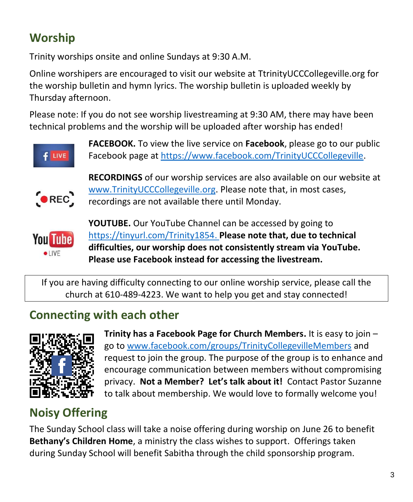## **Worship**

Trinity worships onsite and online Sundays at 9:30 A.M.

Online worshipers are encouraged to visit our website at TtrinityUCCCollegeville.org for the worship bulletin and hymn lyrics. The worship bulletin is uploaded weekly by Thursday afternoon.

Please note: If you do not see worship livestreaming at 9:30 AM, there may have been technical problems and the worship will be uploaded after worship has ended!



**FACEBOOK.** To view the live service on **Facebook**, please go to our public Facebook page at [https://www.facebook.com/TrinityUCCCollegeville.](https://www.facebook.com/TrinityUCCCollegeville)



**RECORDINGS** of our worship services are also available on our website at [www.TrinityUCCCollegeville.org.](http://www.trinityucccollegeville.org/) Please note that, in most cases, recordings are not available there until Monday.



**YOUTUBE.** Our YouTube Channel can be accessed by going to [https://tinyurl.com/Trinity1854.](https://tinyurl.com/Trinity1854) **Please note that, due to technical difficulties, our worship does not consistently stream via YouTube. Please use Facebook instead for accessing the livestream.**

If you are having difficulty connecting to our online worship service, please call the church at 610-489-4223. We want to help you get and stay connected!

## **Connecting with each other**



**Trinity has a Facebook Page for Church Members.** It is easy to join – go to [www.facebook.com/groups/TrinityCollegevilleMembers](http://www.facebook.com/groups/TrinityCollegevilleMembers) and request to join the group. The purpose of the group is to enhance and encourage communication between members without compromising privacy. **Not a Member? Let's talk about it!** Contact Pastor Suzanne to talk about membership. We would love to formally welcome you!

## **Noisy Offering**

The Sunday School class will take a noise offering during worship on June 26 to benefit **Bethany's Children Home**, a ministry the class wishes to support. Offerings taken during Sunday School will benefit Sabitha through the child sponsorship program.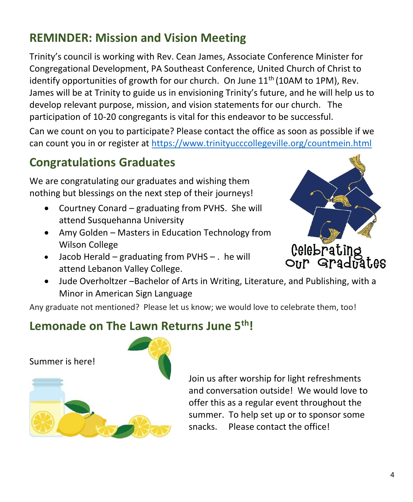#### **REMINDER: Mission and Vision Meeting**

Trinity's council is working with Rev. Cean James, Associate Conference Minister for Congregational Development, PA Southeast Conference, United Church of Christ to identify opportunities of growth for our church. On June  $11<sup>th</sup>$  (10AM to 1PM), Rev. James will be at Trinity to guide us in envisioning Trinity's future, and he will help us to develop relevant purpose, mission, and vision statements for our church. The participation of 10-20 congregants is vital for this endeavor to be successful.

Can we count on you to participate? Please contact the office as soon as possible if we can count you in or register at<https://www.trinityucccollegeville.org/countmein.html>

#### **Congratulations Graduates**

We are congratulating our graduates and wishing them nothing but blessings on the next step of their journeys!

- Courtney Conard graduating from PVHS. She will attend Susquehanna University
- Amy Golden Masters in Education Technology from Wilson College
- Jacob Herald graduating from PVHS . he will attend Lebanon Valley College.



• Jude Overholtzer –Bachelor of Arts in Writing, Literature, and Publishing, with a Minor in American Sign Language

Any graduate not mentioned? Please let us know; we would love to celebrate them, too!

#### **Lemonade on The Lawn Returns June 5th!**

Summer is here!



Join us after worship for light refreshments and conversation outside! We would love to offer this as a regular event throughout the summer. To help set up or to sponsor some snacks. Please contact the office!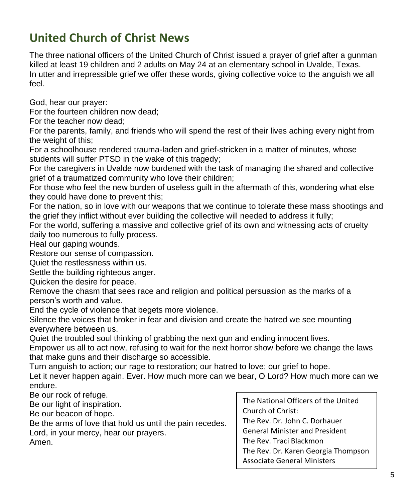#### **United Church of Christ News**

The three national officers of the United Church of Christ issued a prayer of grief after a gunman killed at least 19 children and 2 adults on May 24 at an elementary school in Uvalde, Texas. In utter and irrepressible grief we offer these words, giving collective voice to the anguish we all feel.

God, hear our prayer:

For the fourteen children now dead;

For the teacher now dead;

For the parents, family, and friends who will spend the rest of their lives aching every night from the weight of this;

For a schoolhouse rendered trauma-laden and grief-stricken in a matter of minutes, whose students will suffer PTSD in the wake of this tragedy;

For the caregivers in Uvalde now burdened with the task of managing the shared and collective grief of a traumatized community who love their children;

For those who feel the new burden of useless guilt in the aftermath of this, wondering what else they could have done to prevent this;

For the nation, so in love with our weapons that we continue to tolerate these mass shootings and the grief they inflict without ever building the collective will needed to address it fully;

For the world, suffering a massive and collective grief of its own and witnessing acts of cruelty daily too numerous to fully process.

Heal our gaping wounds.

Restore our sense of compassion.

Quiet the restlessness within us.

Settle the building righteous anger.

Quicken the desire for peace.

Remove the chasm that sees race and religion and political persuasion as the marks of a person's worth and value.

End the cycle of violence that begets more violence.

Silence the voices that broker in fear and division and create the hatred we see mounting everywhere between us.

Quiet the troubled soul thinking of grabbing the next gun and ending innocent lives.

Empower us all to act now, refusing to wait for the next horror show before we change the laws that make guns and their discharge so accessible.

Turn anguish to action; our rage to restoration; our hatred to love; our grief to hope.

Let it never happen again. Ever. How much more can we bear, O Lord? How much more can we endure.

Be our rock of refuge.

Be our light of inspiration.

Be our beacon of hope.

Be the arms of love that hold us until the pain recedes.

Lord, in your mercy, hear our prayers.

Amen.

The National Officers of the United Church of Christ: The Rev. Dr. John C. Dorhauer General Minister and President The Rev. Traci Blackmon The Rev. Dr. Karen Georgia Thompson Associate General Ministers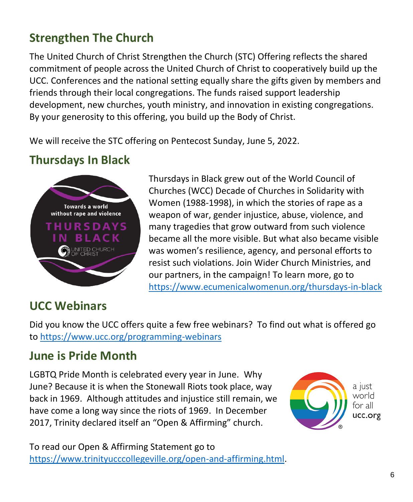#### **Strengthen The Church**

The United Church of Christ Strengthen the Church (STC) Offering reflects the shared commitment of people across the United Church of Christ to cooperatively build up the UCC. Conferences and the national setting equally share the gifts given by members and friends through their local congregations. The funds raised support leadership development, new churches, youth ministry, and innovation in existing congregations. By your generosity to this offering, you build up the Body of Christ.

We will receive the STC offering on Pentecost Sunday, June 5, 2022.

#### **Thursdays In Black**



Thursdays in Black grew out of the World Council of Churches (WCC) Decade of Churches in Solidarity with Women (1988-1998), in which the stories of rape as a weapon of war, gender injustice, abuse, violence, and many tragedies that grow outward from such violence became all the more visible. But what also became visible was women's resilience, agency, and personal efforts to resist such violations. Join Wider Church Ministries, and our partners, in the campaign! To learn more, go to <https://www.ecumenicalwomenun.org/thursdays-in-black>

#### **UCC Webinars**

Did you know the UCC offers quite a few free webinars? To find out what is offered go to<https://www.ucc.org/programming-webinars>

#### **June is Pride Month**

LGBTQ Pride Month is celebrated every year in June. Why June? Because it is when the Stonewall Riots took place, way back in 1969. Although attitudes and injustice still remain, we have come a long way since the riots of 1969. In December 2017, Trinity declared itself an "Open & Affirming" church.



To read our Open & Affirming Statement go to [https://www.trinityucccollegeville.org/open-and-affirming.html.](https://www.trinityucccollegeville.org/open-and-affirming.html)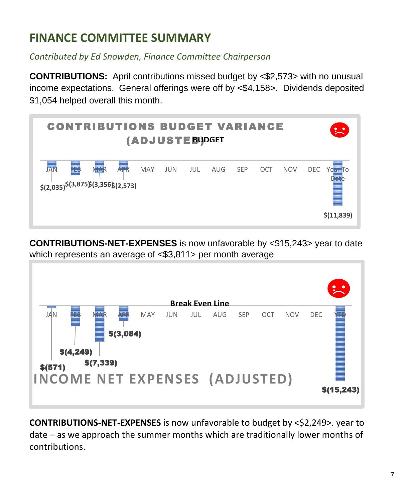#### **FINANCE COMMITTEE SUMMARY**

*Contributed by Ed Snowden, Finance Committee Chairperson*

**CONTRIBUTIONS:** April contributions missed budget by <\$2,573> with no unusual income expectations. General offerings were off by <\$4,158>. Dividends deposited \$1,054 helped overall this month.



**CONTRIBUTIONS-NET-EXPENSES** is now unfavorable by <\$15,243> year to date which represents an average of <\$3,811> per month average



**CONTRIBUTIONS-NET-EXPENSES** is now unfavorable to budget by <\$2,249>. year to date – as we approach the summer months which are traditionally lower months of contributions.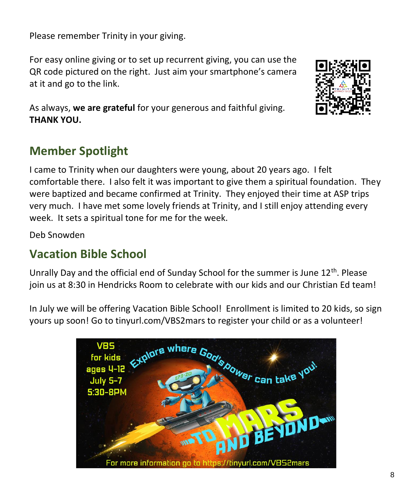Please remember Trinity in your giving.

For easy online giving or to set up recurrent giving, you can use the QR code pictured on the right. Just aim your smartphone's camera at it and go to the link.



As always, **we are grateful** for your generous and faithful giving. **THANK YOU.** 

#### **Member Spotlight**

I came to Trinity when our daughters were young, about 20 years ago. I felt comfortable there. I also felt it was important to give them a spiritual foundation. They were baptized and became confirmed at Trinity. They enjoyed their time at ASP trips very much. I have met some lovely friends at Trinity, and I still enjoy attending every week. It sets a spiritual tone for me for the week.

Deb Snowden

#### **Vacation Bible School**

Unrally Day and the official end of Sunday School for the summer is June  $12<sup>th</sup>$ . Please join us at 8:30 in Hendricks Room to celebrate with our kids and our Christian Ed team!

In July we will be offering Vacation Bible School! Enrollment is limited to 20 kids, so sign yours up soon! Go to tinyurl.com/VBS2mars to register your child or as a volunteer!

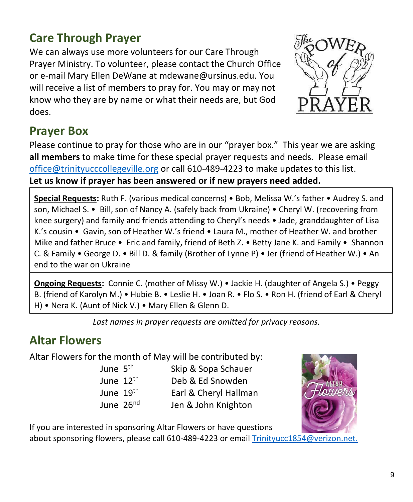#### **Care Through Prayer**

We can always use more volunteers for our Care Through Prayer Ministry. To volunteer, please contact the Church Office or e-mail Mary Ellen DeWane at [mdewane@ursinus.edu.](mailto:mdewane@ursinus.edu) You will receive a list of members to pray for. You may or may not know who they are by name or what their needs are, but God does.



#### **Prayer Box**

Please continue to pray for those who are in our "prayer box." This year we are asking **all members** to make time for these special prayer requests and needs. Please email [office@trinityucccollegeville.org](mailto:office@trinityucccollegeville.org) or call 610-489-4223 to make updates to this list. **Let us know if prayer has been answered or if new prayers need added.**

**Special Requests:** Ruth F. (various medical concerns) • Bob, Melissa W.'s father • Audrey S. and son, Michael S. • Bill, son of Nancy A. (safely back from Ukraine) • Cheryl W. (recovering from knee surgery) and family and friends attending to Cheryl's needs • Jade, granddaughter of Lisa K.'s cousin • Gavin, son of Heather W.'s friend • Laura M., mother of Heather W. and brother Mike and father Bruce • Eric and family, friend of Beth Z. • Betty Jane K. and Family • Shannon C. & Family • George D. • Bill D. & family (Brother of Lynne P) • Jer (friend of Heather W.) • An end to the war on Ukraine

**Ongoing Requests:** Connie C. (mother of Missy W.) • Jackie H. (daughter of Angela S.) • Peggy B. (friend of Karolyn M.) • Hubie B. • Leslie H. • Joan R. • Flo S. • Ron H. (friend of Earl & Cheryl H) • Nera K. (Aunt of Nick V.) • Mary Ellen & Glenn D.

*Last names in prayer requests are omitted for privacy reasons.*

#### **Altar Flowers**

Altar Flowers for the month of May will be contributed by:

June 5th Skip & Sopa Schauer June 12<sup>th</sup> Deb & Ed Snowden June 19<sup>th</sup> Earl & Cheryl Hallman June 26<sup>nd</sup> Jen & John Knighton



If you are interested in sponsoring Altar Flowers or have questions

about sponsoring flowers, please call 610-489-4223 or emai[l Trinityucc1854@verizon.net.](mailto:Trinityucc1854@verizon.net)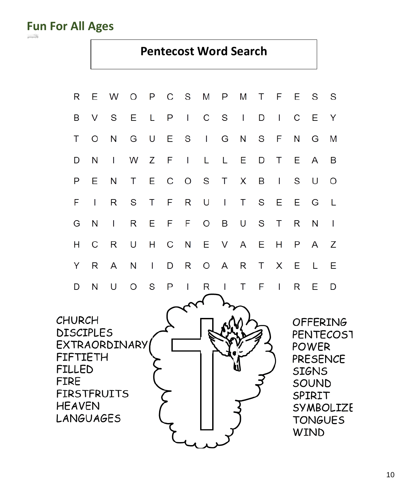international partners as **Fun For All Ages**

#### **Pentecost Word Search**

10